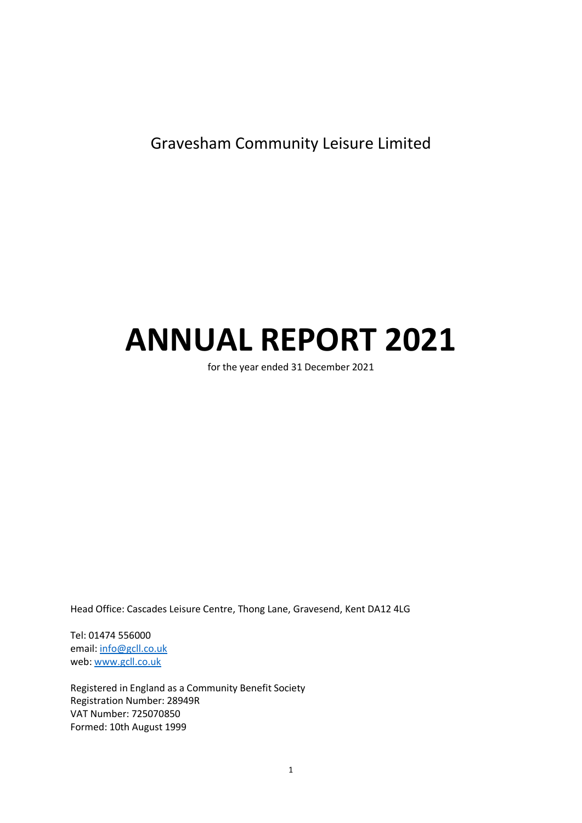Gravesham Community Leisure Limited

# **ANNUAL REPORT 2021**

for the year ended 31 December 2021

Head Office: Cascades Leisure Centre, Thong Lane, Gravesend, Kent DA12 4LG

Tel: 01474 556000 email: [info@gcll.co.uk](mailto:info@gcll.co.uk) web[: www.gcll.co.uk](http://www.gcll.co.uk/)

Registered in England as a Community Benefit Society Registration Number: 28949R VAT Number: 725070850 Formed: 10th August 1999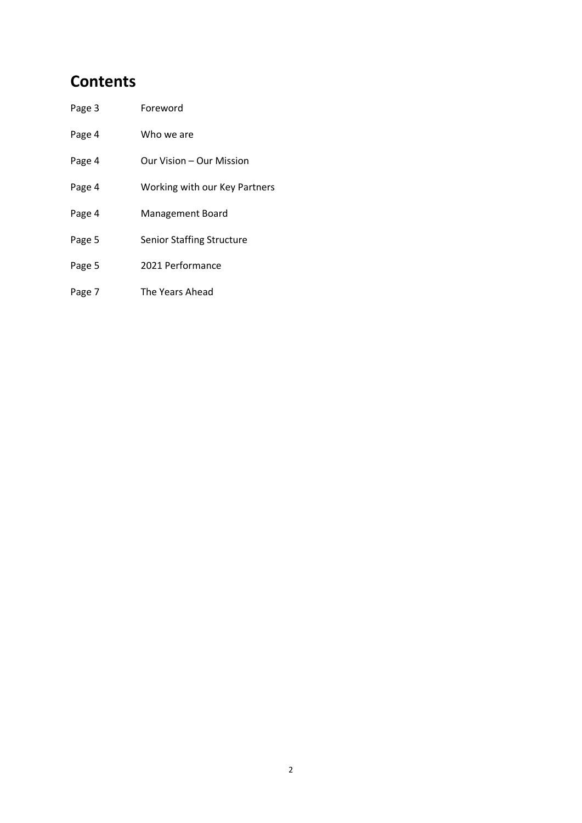# **Contents**

| Page 3 | Foreword |
|--------|----------|
|        |          |

| Page 4 | Who we are |
|--------|------------|
|        |            |

- Page 4 Our Vision Our Mission
- Page 4 Working with our Key Partners
- Page 4 Management Board
- Page 5 Senior Staffing Structure
- Page 5 2021 Performance
- Page 7 The Years Ahead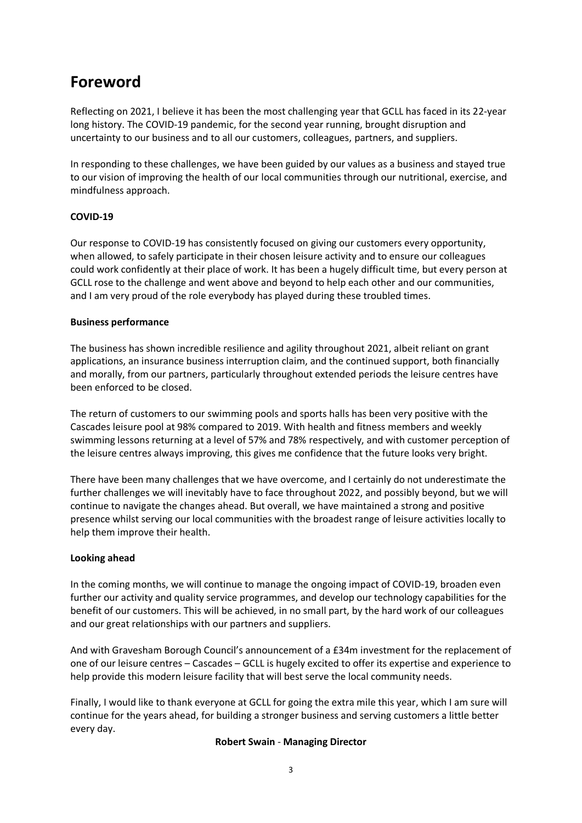# **Foreword**

Reflecting on 2021, I believe it has been the most challenging year that GCLL has faced in its 22-year long history. The COVID-19 pandemic, for the second year running, brought disruption and uncertainty to our business and to all our customers, colleagues, partners, and suppliers.

In responding to these challenges, we have been guided by our values as a business and stayed true to our vision of improving the health of our local communities through our nutritional, exercise, and mindfulness approach.

## **COVID-19**

Our response to COVID-19 has consistently focused on giving our customers every opportunity, when allowed, to safely participate in their chosen leisure activity and to ensure our colleagues could work confidently at their place of work. It has been a hugely difficult time, but every person at GCLL rose to the challenge and went above and beyond to help each other and our communities, and I am very proud of the role everybody has played during these troubled times.

### **Business performance**

The business has shown incredible resilience and agility throughout 2021, albeit reliant on grant applications, an insurance business interruption claim, and the continued support, both financially and morally, from our partners, particularly throughout extended periods the leisure centres have been enforced to be closed.

The return of customers to our swimming pools and sports halls has been very positive with the Cascades leisure pool at 98% compared to 2019. With health and fitness members and weekly swimming lessons returning at a level of 57% and 78% respectively, and with customer perception of the leisure centres always improving, this gives me confidence that the future looks very bright.

There have been many challenges that we have overcome, and I certainly do not underestimate the further challenges we will inevitably have to face throughout 2022, and possibly beyond, but we will continue to navigate the changes ahead. But overall, we have maintained a strong and positive presence whilst serving our local communities with the broadest range of leisure activities locally to help them improve their health.

## **Looking ahead**

In the coming months, we will continue to manage the ongoing impact of COVID-19, broaden even further our activity and quality service programmes, and develop our technology capabilities for the benefit of our customers. This will be achieved, in no small part, by the hard work of our colleagues and our great relationships with our partners and suppliers.

And with Gravesham Borough Council's announcement of a £34m investment for the replacement of one of our leisure centres – Cascades – GCLL is hugely excited to offer its expertise and experience to help provide this modern leisure facility that will best serve the local community needs.

Finally, I would like to thank everyone at GCLL for going the extra mile this year, which I am sure will continue for the years ahead, for building a stronger business and serving customers a little better every day.

#### **Robert Swain** - **Managing Director**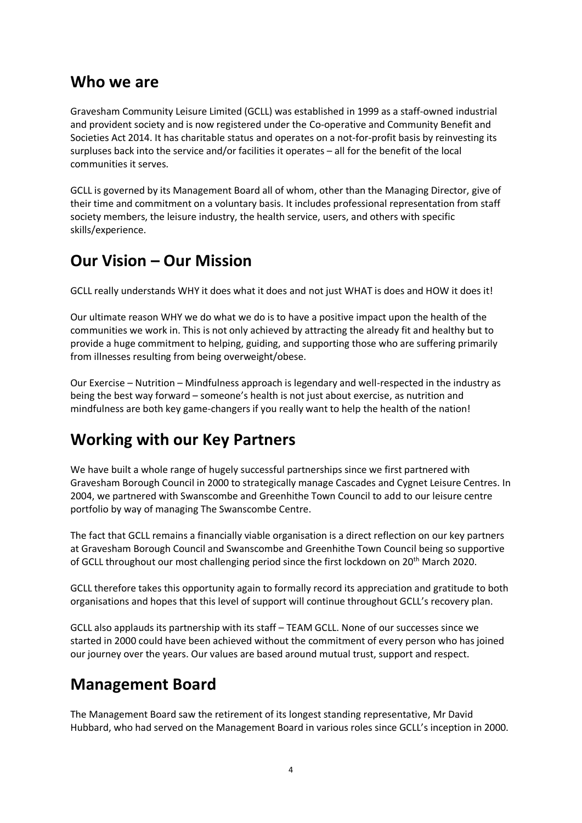## **Who we are**

Gravesham Community Leisure Limited (GCLL) was established in 1999 as a staff-owned industrial and provident society and is now registered under the Co-operative and Community Benefit and Societies Act 2014. It has charitable status and operates on a not-for-profit basis by reinvesting its surpluses back into the service and/or facilities it operates – all for the benefit of the local communities it serves.

GCLL is governed by its Management Board all of whom, other than the Managing Director, give of their time and commitment on a voluntary basis. It includes professional representation from staff society members, the leisure industry, the health service, users, and others with specific skills/experience.

# **Our Vision – Our Mission**

GCLL really understands WHY it does what it does and not just WHAT is does and HOW it does it!

Our ultimate reason WHY we do what we do is to have a positive impact upon the health of the communities we work in. This is not only achieved by attracting the already fit and healthy but to provide a huge commitment to helping, guiding, and supporting those who are suffering primarily from illnesses resulting from being overweight/obese.

Our Exercise – Nutrition – Mindfulness approach is legendary and well-respected in the industry as being the best way forward – someone's health is not just about exercise, as nutrition and mindfulness are both key game-changers if you really want to help the health of the nation!

# **Working with our Key Partners**

We have built a whole range of hugely successful partnerships since we first partnered with Gravesham Borough Council in 2000 to strategically manage Cascades and Cygnet Leisure Centres. In 2004, we partnered with Swanscombe and Greenhithe Town Council to add to our leisure centre portfolio by way of managing The Swanscombe Centre.

The fact that GCLL remains a financially viable organisation is a direct reflection on our key partners at Gravesham Borough Council and Swanscombe and Greenhithe Town Council being so supportive of GCLL throughout our most challenging period since the first lockdown on 20th March 2020.

GCLL therefore takes this opportunity again to formally record its appreciation and gratitude to both organisations and hopes that this level of support will continue throughout GCLL's recovery plan.

GCLL also applauds its partnership with its staff – TEAM GCLL. None of our successes since we started in 2000 could have been achieved without the commitment of every person who has joined our journey over the years. Our values are based around mutual trust, support and respect.

# **Management Board**

The Management Board saw the retirement of its longest standing representative, Mr David Hubbard, who had served on the Management Board in various roles since GCLL's inception in 2000.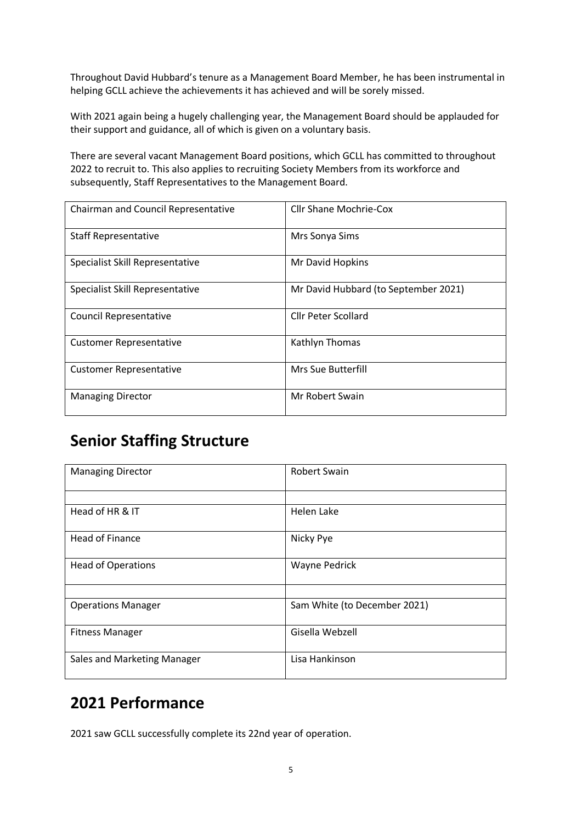Throughout David Hubbard's tenure as a Management Board Member, he has been instrumental in helping GCLL achieve the achievements it has achieved and will be sorely missed.

With 2021 again being a hugely challenging year, the Management Board should be applauded for their support and guidance, all of which is given on a voluntary basis.

There are several vacant Management Board positions, which GCLL has committed to throughout 2022 to recruit to. This also applies to recruiting Society Members from its workforce and subsequently, Staff Representatives to the Management Board.

| Chairman and Council Representative | <b>Cllr Shane Mochrie-Cox</b>        |
|-------------------------------------|--------------------------------------|
| <b>Staff Representative</b>         | Mrs Sonya Sims                       |
| Specialist Skill Representative     | Mr David Hopkins                     |
| Specialist Skill Representative     | Mr David Hubbard (to September 2021) |
| <b>Council Representative</b>       | <b>Cllr Peter Scollard</b>           |
| <b>Customer Representative</b>      | Kathlyn Thomas                       |
| <b>Customer Representative</b>      | Mrs Sue Butterfill                   |
| <b>Managing Director</b>            | Mr Robert Swain                      |

## **Senior Staffing Structure**

| <b>Managing Director</b>    | <b>Robert Swain</b>          |
|-----------------------------|------------------------------|
|                             |                              |
| Head of HR & IT             | Helen Lake                   |
| <b>Head of Finance</b>      | Nicky Pye                    |
| <b>Head of Operations</b>   | <b>Wayne Pedrick</b>         |
|                             |                              |
| <b>Operations Manager</b>   | Sam White (to December 2021) |
| <b>Fitness Manager</b>      | Gisella Webzell              |
| Sales and Marketing Manager | Lisa Hankinson               |

# **2021 Performance**

2021 saw GCLL successfully complete its 22nd year of operation.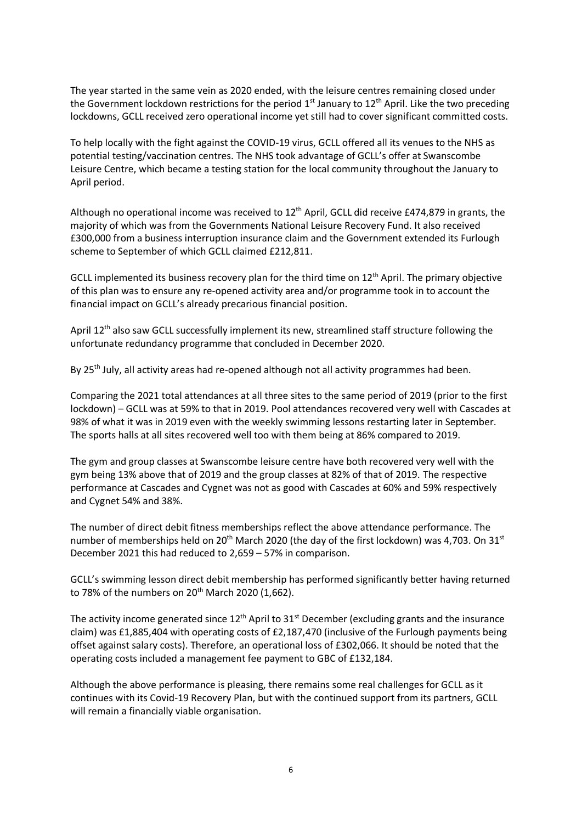The year started in the same vein as 2020 ended, with the leisure centres remaining closed under the Government lockdown restrictions for the period  $1<sup>st</sup>$  January to  $12<sup>th</sup>$  April. Like the two preceding lockdowns, GCLL received zero operational income yet still had to cover significant committed costs.

To help locally with the fight against the COVID-19 virus, GCLL offered all its venues to the NHS as potential testing/vaccination centres. The NHS took advantage of GCLL's offer at Swanscombe Leisure Centre, which became a testing station for the local community throughout the January to April period.

Although no operational income was received to 12<sup>th</sup> April, GCLL did receive £474,879 in grants, the majority of which was from the Governments National Leisure Recovery Fund. It also received £300,000 from a business interruption insurance claim and the Government extended its Furlough scheme to September of which GCLL claimed £212,811.

GCLL implemented its business recovery plan for the third time on 12<sup>th</sup> April. The primary objective of this plan was to ensure any re-opened activity area and/or programme took in to account the financial impact on GCLL's already precarious financial position.

April 12<sup>th</sup> also saw GCLL successfully implement its new, streamlined staff structure following the unfortunate redundancy programme that concluded in December 2020.

By  $25<sup>th</sup>$  July, all activity areas had re-opened although not all activity programmes had been.

Comparing the 2021 total attendances at all three sites to the same period of 2019 (prior to the first lockdown) – GCLL was at 59% to that in 2019. Pool attendances recovered very well with Cascades at 98% of what it was in 2019 even with the weekly swimming lessons restarting later in September. The sports halls at all sites recovered well too with them being at 86% compared to 2019.

The gym and group classes at Swanscombe leisure centre have both recovered very well with the gym being 13% above that of 2019 and the group classes at 82% of that of 2019. The respective performance at Cascades and Cygnet was not as good with Cascades at 60% and 59% respectively and Cygnet 54% and 38%.

The number of direct debit fitness memberships reflect the above attendance performance. The number of memberships held on 20<sup>th</sup> March 2020 (the day of the first lockdown) was 4,703. On 31<sup>st</sup> December 2021 this had reduced to 2,659 – 57% in comparison.

GCLL's swimming lesson direct debit membership has performed significantly better having returned to 78% of the numbers on  $20^{th}$  March 2020 (1,662).

The activity income generated since  $12<sup>th</sup>$  April to  $31<sup>st</sup>$  December (excluding grants and the insurance claim) was £1,885,404 with operating costs of £2,187,470 (inclusive of the Furlough payments being offset against salary costs). Therefore, an operational loss of £302,066. It should be noted that the operating costs included a management fee payment to GBC of £132,184.

Although the above performance is pleasing, there remains some real challenges for GCLL as it continues with its Covid-19 Recovery Plan, but with the continued support from its partners, GCLL will remain a financially viable organisation.